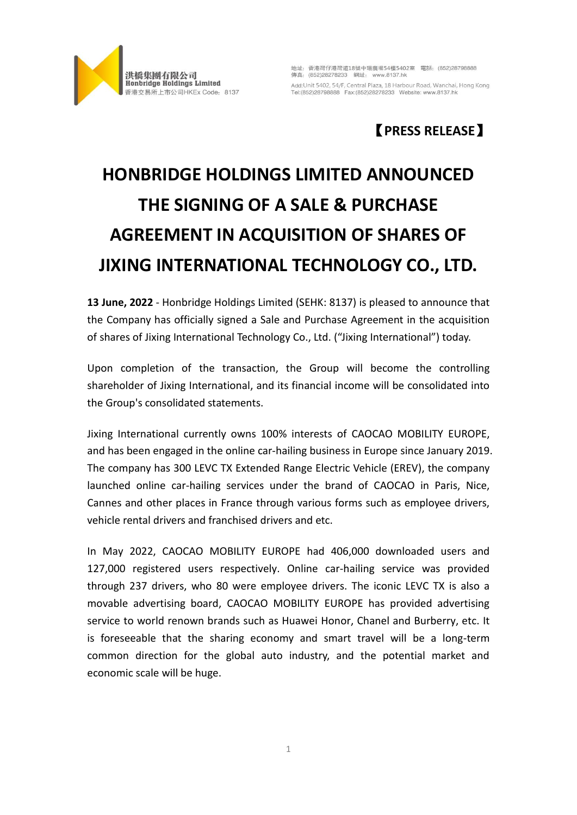

地址: 香港灣仔港灣道18號中環廣場54樓5402室 電話: (852)28798888 Add: Unit 5402, 54/F, Central Plaza, 18 Harbour Road, Wanchai, Hong Kong Tel:(852)28798888 Fax:(852)28278233 Website: www.8137.hk

## 【**PRESS RELEASE**】

## **HONBRIDGE HOLDINGS LIMITED ANNOUNCED THE SIGNING OF A SALE & PURCHASE AGREEMENT IN ACQUISITION OF SHARES OF JIXING INTERNATIONAL TECHNOLOGY CO., LTD.**

**13 June, 2022** - Honbridge Holdings Limited (SEHK: 8137) is pleased to announce that the Company has officially signed a Sale and Purchase Agreement in the acquisition of shares of Jixing International Technology Co., Ltd. ("Jixing International") today.

Upon completion of the transaction, the Group will become the controlling shareholder of Jixing International, and its financial income will be consolidated into the Group's consolidated statements.

Jixing International currently owns 100% interests of CAOCAO MOBILITY EUROPE, and has been engaged in the online car-hailing business in Europe since January 2019. The company has 300 LEVC TX Extended Range Electric Vehicle (EREV), the company launched online car-hailing services under the brand of CAOCAO in Paris, Nice, Cannes and other places in France through various forms such as employee drivers, vehicle rental drivers and franchised drivers and etc.

In May 2022, CAOCAO MOBILITY EUROPE had 406,000 downloaded users and 127,000 registered users respectively. Online car-hailing service was provided through 237 drivers, who 80 were employee drivers. The iconic LEVC TX is also a movable advertising board, CAOCAO MOBILITY EUROPE has provided advertising service to world renown brands such as Huawei Honor, Chanel and Burberry, etc. It is foreseeable that the sharing economy and smart travel will be a long-term common direction for the global auto industry, and the potential market and economic scale will be huge.